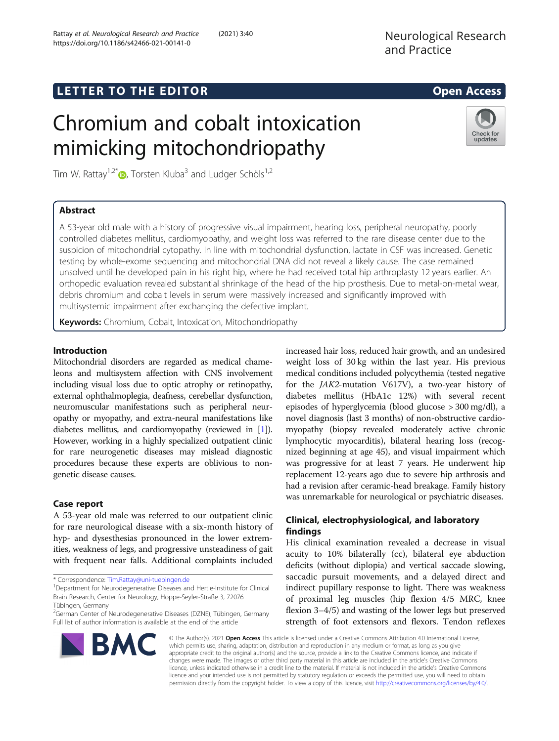# Chromium and cobalt intoxication mimicking mitochondriopathy

Tim W. Rattay<sup>1[,](http://orcid.org/0000-0002-5456-7761)2\*</sup>  $\bullet$ , Torsten Kluba<sup>3</sup> and Ludger Schöls<sup>1,2</sup>

# Abstract

A 53-year old male with a history of progressive visual impairment, hearing loss, peripheral neuropathy, poorly controlled diabetes mellitus, cardiomyopathy, and weight loss was referred to the rare disease center due to the suspicion of mitochondrial cytopathy. In line with mitochondrial dysfunction, lactate in CSF was increased. Genetic testing by whole-exome sequencing and mitochondrial DNA did not reveal a likely cause. The case remained unsolved until he developed pain in his right hip, where he had received total hip arthroplasty 12 years earlier. An orthopedic evaluation revealed substantial shrinkage of the head of the hip prosthesis. Due to metal-on-metal wear, debris chromium and cobalt levels in serum were massively increased and significantly improved with multisystemic impairment after exchanging the defective implant.

Keywords: Chromium, Cobalt, Intoxication, Mitochondriopathy

## Introduction

Mitochondrial disorders are regarded as medical chameleons and multisystem affection with CNS involvement including visual loss due to optic atrophy or retinopathy, external ophthalmoplegia, deafness, cerebellar dysfunction, neuromuscular manifestations such as peripheral neuropathy or myopathy, and extra-neural manifestations like diabetes mellitus, and cardiomyopathy (reviewed in [[1](#page-2-0)]). However, working in a highly specialized outpatient clinic for rare neurogenetic diseases may mislead diagnostic procedures because these experts are oblivious to nongenetic disease causes.

## Case report

A 53-year old male was referred to our outpatient clinic for rare neurological disease with a six-month history of hyp- and dysesthesias pronounced in the lower extremities, weakness of legs, and progressive unsteadiness of gait with frequent near falls. Additional complaints included

\* Correspondence: [Tim.Rattay@uni-tuebingen.de](mailto:Tim.Rattay@uni-tuebingen.de) <sup>1</sup>

**BMC** 

<sup>2</sup>German Center of Neurodegenerative Diseases (DZNE), Tübingen, Germany Full list of author information is available at the end of the article

increased hair loss, reduced hair growth, and an undesired weight loss of 30 kg within the last year. His previous medical conditions included polycythemia (tested negative for the JAK2-mutation V617V), a two-year history of diabetes mellitus (HbA1c 12%) with several recent episodes of hyperglycemia (blood glucose > 300 mg/dl), a novel diagnosis (last 3 months) of non-obstructive cardiomyopathy (biopsy revealed moderately active chronic lymphocytic myocarditis), bilateral hearing loss (recognized beginning at age 45), and visual impairment which was progressive for at least 7 years. He underwent hip replacement 12-years ago due to severe hip arthrosis and had a revision after ceramic-head breakage. Family history was unremarkable for neurological or psychiatric diseases.

## Clinical, electrophysiological, and laboratory findings

His clinical examination revealed a decrease in visual acuity to 10% bilaterally (cc), bilateral eye abduction deficits (without diplopia) and vertical saccade slowing, saccadic pursuit movements, and a delayed direct and indirect pupillary response to light. There was weakness of proximal leg muscles (hip flexion 4/5 MRC, knee flexion 3–4/5) and wasting of the lower legs but preserved strength of foot extensors and flexors. Tendon reflexes

© The Author(s). 2021 Open Access This article is licensed under a Creative Commons Attribution 4.0 International License, which permits use, sharing, adaptation, distribution and reproduction in any medium or format, as long as you give appropriate credit to the original author(s) and the source, provide a link to the Creative Commons licence, and indicate if changes were made. The images or other third party material in this article are included in the article's Creative Commons licence, unless indicated otherwise in a credit line to the material. If material is not included in the article's Creative Commons licence and your intended use is not permitted by statutory regulation or exceeds the permitted use, you will need to obtain permission directly from the copyright holder. To view a copy of this licence, visit [http://creativecommons.org/licenses/by/4.0/.](http://creativecommons.org/licenses/by/4.0/)







<sup>&</sup>lt;sup>1</sup>Department for Neurodegenerative Diseases and Hertie-Institute for Clinical Brain Research, Center for Neurology, Hoppe-Seyler-Straße 3, 72076 Tübingen, Germany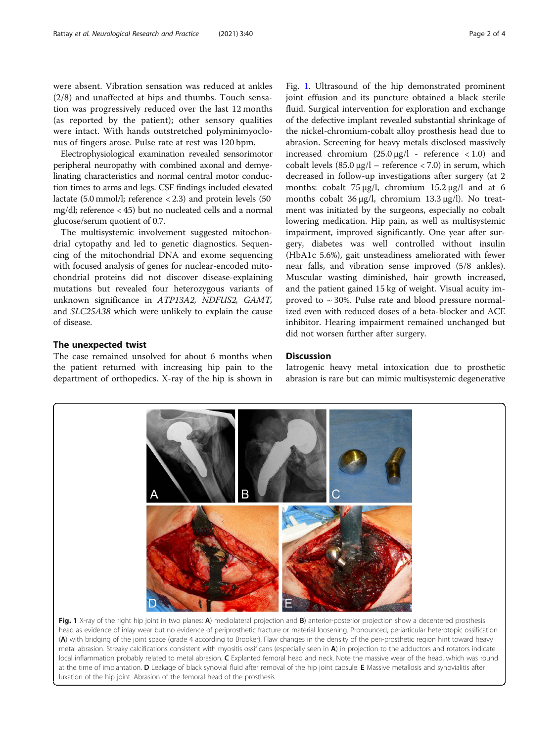<span id="page-1-0"></span>were absent. Vibration sensation was reduced at ankles (2/8) and unaffected at hips and thumbs. Touch sensation was progressively reduced over the last 12 months (as reported by the patient); other sensory qualities were intact. With hands outstretched polyminimyoclonus of fingers arose. Pulse rate at rest was 120 bpm.

Electrophysiological examination revealed sensorimotor peripheral neuropathy with combined axonal and demyelinating characteristics and normal central motor conduction times to arms and legs. CSF findings included elevated lactate (5.0 mmol/l; reference < 2.3) and protein levels (50 mg/dl; reference < 45) but no nucleated cells and a normal glucose/serum quotient of 0.7.

The multisystemic involvement suggested mitochondrial cytopathy and led to genetic diagnostics. Sequencing of the mitochondrial DNA and exome sequencing with focused analysis of genes for nuclear-encoded mitochondrial proteins did not discover disease-explaining mutations but revealed four heterozygous variants of unknown significance in ATP13A2, NDFUS2, GAMT, and SLC25A38 which were unlikely to explain the cause of disease.

## The unexpected twist

The case remained unsolved for about 6 months when the patient returned with increasing hip pain to the department of orthopedics. X-ray of the hip is shown in

Fig. 1. Ultrasound of the hip demonstrated prominent joint effusion and its puncture obtained a black sterile fluid. Surgical intervention for exploration and exchange of the defective implant revealed substantial shrinkage of the nickel-chromium-cobalt alloy prosthesis head due to abrasion. Screening for heavy metals disclosed massively increased chromium  $(25.0 \text{ µg}/l - \text{reference} < 1.0)$  and cobalt levels (85.0 μg/l – reference < 7.0) in serum, which decreased in follow-up investigations after surgery (at 2 months: cobalt 75 μg/l, chromium 15.2 μg/l and at 6 months cobalt 36 μg/l, chromium 13.3 μg/l). No treatment was initiated by the surgeons, especially no cobalt lowering medication. Hip pain, as well as multisystemic impairment, improved significantly. One year after sur-

gery, diabetes was well controlled without insulin (HbA1c 5.6%), gait unsteadiness ameliorated with fewer near falls, and vibration sense improved (5/8 ankles). Muscular wasting diminished, hair growth increased, and the patient gained 15 kg of weight. Visual acuity improved to  $\sim$  30%. Pulse rate and blood pressure normalized even with reduced doses of a beta-blocker and ACE inhibitor. Hearing impairment remained unchanged but did not worsen further after surgery.

## **Discussion**

Iatrogenic heavy metal intoxication due to prosthetic abrasion is rare but can mimic multisystemic degenerative



head as evidence of inlay wear but no evidence of periprosthetic fracture or material loosening. Pronounced, periarticular heterotopic ossification (A) with bridging of the joint space (grade 4 according to Brooker). Flaw changes in the density of the peri-prosthetic region hint toward heavy metal abrasion. Streaky calcifications consistent with myositis ossificans (especially seen in A) in projection to the adductors and rotators indicate local inflammation probably related to metal abrasion. C Explanted femoral head and neck. Note the massive wear of the head, which was round at the time of implantation. D Leakage of black synovial fluid after removal of the hip joint capsule. E Massive metallosis and synovialitis after luxation of the hip joint. Abrasion of the femoral head of the prosthesis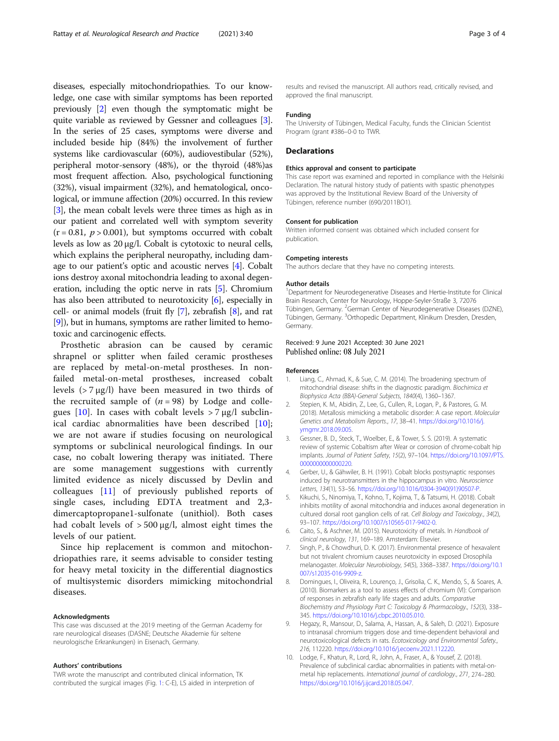<span id="page-2-0"></span>diseases, especially mitochondriopathies. To our knowledge, one case with similar symptoms has been reported previously [2] even though the symptomatic might be quite variable as reviewed by Gessner and colleagues [3]. In the series of 25 cases, symptoms were diverse and included beside hip (84%) the involvement of further systems like cardiovascular (60%), audiovestibular (52%), peripheral motor-sensory (48%), or the thyroid (48%)as most frequent affection. Also, psychological functioning (32%), visual impairment (32%), and hematological, oncological, or immune affection (20%) occurred. In this review [3], the mean cobalt levels were three times as high as in our patient and correlated well with symptom severity  $(r = 0.81, p > 0.001)$ , but symptoms occurred with cobalt levels as low as 20 μg/l. Cobalt is cytotoxic to neural cells, which explains the peripheral neuropathy, including damage to our patient's optic and acoustic nerves [4]. Cobalt ions destroy axonal mitochondria leading to axonal degeneration, including the optic nerve in rats [5]. Chromium has also been attributed to neurotoxicity [6], especially in cell- or animal models (fruit fly [7], zebrafish [8], and rat [9]), but in humans, symptoms are rather limited to hemotoxic and carcinogenic effects.

Prosthetic abrasion can be caused by ceramic shrapnel or splitter when failed ceramic prostheses are replaced by metal-on-metal prostheses. In nonfailed metal-on-metal prostheses, increased cobalt levels (> 7 μg/l) have been measured in two thirds of the recruited sample of  $(n = 98)$  by Lodge and collegues [10]. In cases with cobalt levels  $> 7 \mu g/l$  subclinical cardiac abnormalities have been described [10]; we are not aware if studies focusing on neurological symptoms or subclinical neurological findings. In our case, no cobalt lowering therapy was initiated. There are some management suggestions with currently limited evidence as nicely discussed by Devlin and colleagues [\[11](#page-3-0)] of previously published reports of single cases, including EDTA treatment and 2,3 dimercaptopropane1-sulfonate (unithiol). Both cases had cobalt levels of  $> 500 \mu g/l$ , almost eight times the levels of our patient.

Since hip replacement is common and mitochondriopathies rare, it seems advisable to consider testing for heavy metal toxicity in the differential diagnostics of multisystemic disorders mimicking mitochondrial diseases.

#### Acknowledgments

This case was discussed at the 2019 meeting of the German Academy for rare neurological diseases (DASNE; Deutsche Akademie für seltene neurologische Erkrankungen) in Eisenach, Germany.

#### Authors' contributions

TWR wrote the manuscript and contributed clinical information, TK contributed the surgical images (Fig. [1:](#page-1-0) C-E), LS aided in interpretion of results and revised the manuscript. All authors read, critically revised, and approved the final manuscript.

#### Funding

The University of Tübingen, Medical Faculty, funds the Clinician Scientist Program (grant #386-0-0 to TWR

## **Declarations**

#### Ethics approval and consent to participate

This case report was examined and reported in compliance with the Helsinki Declaration. The natural history study of patients with spastic phenotypes was approved by the Institutional Review Board of the University of Tübingen, reference number (690/2011BO1).

#### Consent for publication

Written informed consent was obtained which included consent for publication.

#### Competing interests

The authors declare that they have no competing interests.

#### Author details

<sup>1</sup>Department for Neurodegenerative Diseases and Hertie-Institute for Clinical Brain Research, Center for Neurology, Hoppe-Seyler-Straße 3, 72076 Tübingen, Germany. <sup>2</sup>German Center of Neurodegenerative Diseases (DZNE), Tübingen, Germany. <sup>3</sup>Orthopedic Department, Klinikum Dresden, Dresden, Germany.

## Received: 9 June 2021 Accepted: 30 June 2021 Published online: 08 July 2021

#### References

- 1. Liang, C., Ahmad, K., & Sue, C. M. (2014). The broadening spectrum of mitochondrial disease: shifts in the diagnostic paradigm. Biochimica et Biophysica Acta (BBA)-General Subjects, 1840(4), 1360–1367.
- 2. Stepien, K. M., Abidin, Z., Lee, G., Cullen, R., Logan, P., & Pastores, G. M. (2018). Metallosis mimicking a metabolic disorder: A case report. Molecular Genetics and Metabolism Reports., 17, 38–41. [https://doi.org/10.1016/j.](https://doi.org/10.1016/j.ymgmr.2018.09.005) [ymgmr.2018.09.005.](https://doi.org/10.1016/j.ymgmr.2018.09.005)
- 3. Gessner, B. D., Steck, T., Woelber, E., & Tower, S. S. (2019). A systematic review of systemic Cobaltism after Wear or corrosion of chrome-cobalt hip implants. Journal of Patient Safety, 15(2), 97–104. [https://doi.org/10.1097/PTS.](https://doi.org/10.1097/PTS.0000000000000220) [0000000000000220](https://doi.org/10.1097/PTS.0000000000000220).
- 4. Gerber, U., & Gähwiler, B. H. (1991). Cobalt blocks postsynaptic responses induced by neurotransmitters in the hippocampus in vitro. Neuroscience Letters, 134(1), 53–56. [https://doi.org/10.1016/0304-3940\(91\)90507-P](https://doi.org/10.1016/0304-3940(91)90507-P).
- 5. Kikuchi, S., Ninomiya, T., Kohno, T., Kojima, T., & Tatsumi, H. (2018). Cobalt inhibits motility of axonal mitochondria and induces axonal degeneration in cultured dorsal root ganglion cells of rat. Cell Biology and Toxicology., 34(2), 93–107. <https://doi.org/10.1007/s10565-017-9402-0>.
- 6. Caito, S., & Aschner, M. (2015). Neurotoxicity of metals. In Handbook of clinical neurology, 131, 169–189. Amsterdam: Elsevier.
- 7. Singh, P., & Chowdhuri, D. K. (2017). Environmental presence of hexavalent but not trivalent chromium causes neurotoxicity in exposed Drosophila melanogaster. Molecular Neurobiology, 54(5), 3368–3387. [https://doi.org/10.1](https://doi.org/10.1007/s12035-016-9909-z) [007/s12035-016-9909-z](https://doi.org/10.1007/s12035-016-9909-z).
- 8. Domingues, I., Oliveira, R., Lourenço, J., Grisolia, C. K., Mendo, S., & Soares, A. (2010). Biomarkers as a tool to assess effects of chromium (VI): Comparison of responses in zebrafish early life stages and adults. Comparative Biochemistry and Physiology Part C: Toxicology & Pharmacology., 152(3), 338– 345. <https://doi.org/10.1016/j.cbpc.2010.05.010>.
- 9. Hegazy, R., Mansour, D., Salama, A., Hassan, A., & Saleh, D. (2021). Exposure to intranasal chromium triggers dose and time-dependent behavioral and neurotoxicological defects in rats. Ecotoxicology and Environmental Safety., 216, 112220. [https://doi.org/10.1016/j.ecoenv.2021.112220.](https://doi.org/10.1016/j.ecoenv.2021.112220)
- 10. Lodge, F., Khatun, R., Lord, R., John, A., Fraser, A., & Yousef, Z. (2018). Prevalence of subclinical cardiac abnormalities in patients with metal-onmetal hip replacements. International journal of cardiology., 271, 274–280. <https://doi.org/10.1016/j.ijcard.2018.05.047>.